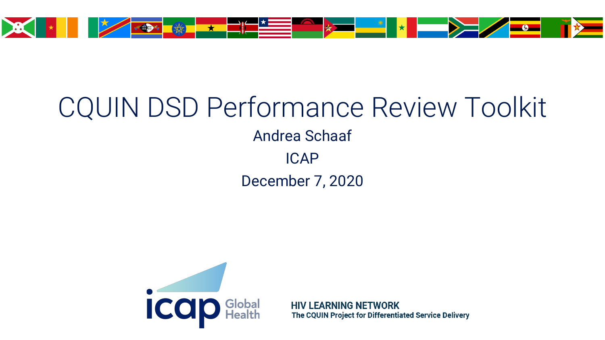

#### CQUIN DSD Performance Review Toolkit Andrea Schaaf ICAP

December 7, 2020



**HIV LEARNING NETWORK** The CQUIN Project for Differentiated Service Delivery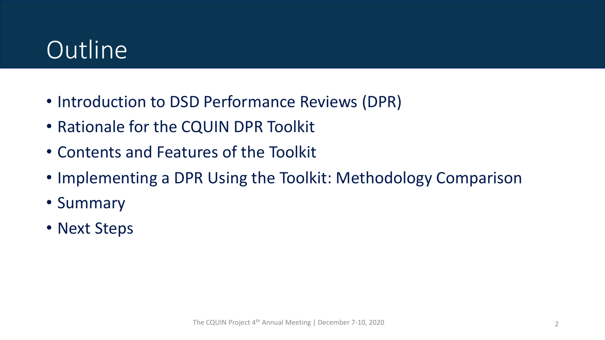# **Outline**

- Introduction to DSD Performance Reviews (DPR)
- Rationale for the CQUIN DPR Toolkit
- Contents and Features of the Toolkit
- Implementing a DPR Using the Toolkit: Methodology Comparison
- Summary
- Next Steps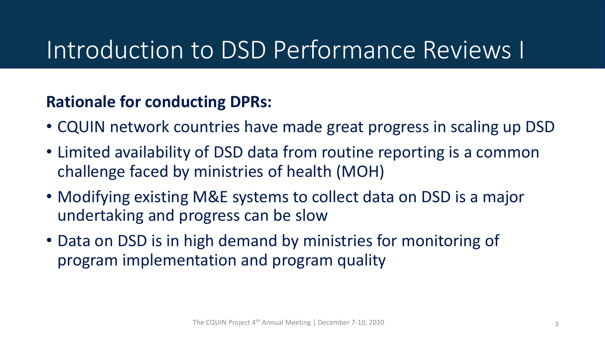### Introduction to DSD Performance Reviews I

#### **Rationale for conducting DPRs:**

- CQUIN network countries have made great progress in scaling up DSD
- Limited availability of DSD data from routine reporting is a common challenge faced by ministries of health (MOH)
- Modifying existing M&E systems to collect data on DSD is a major undertaking and progress can be slow
- Data on DSD is in high demand by ministries for monitoring of program implementation and program quality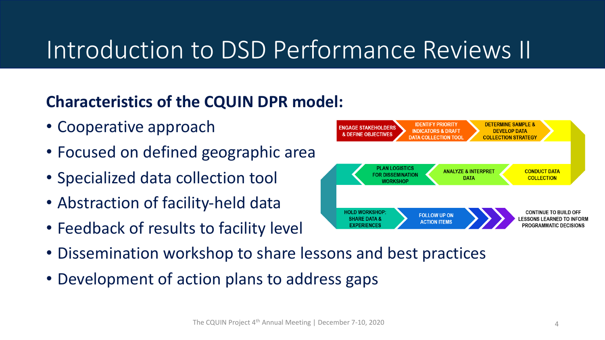# Introduction to DSD Performance Reviews II

#### **Characteristics of the CQUIN DPR model:**

- Cooperative approach
- Focused on defined geographic area
- Specialized data collection tool
- Abstraction of facility-held data
- Feedback of results to facility level
- Dissemination workshop to share lessons and best practices
- Development of action plans to address gaps



**IDENTIFY PRIORITY** 

**IGAGE STAKEHOLDERS** 

**DETERMINE SAMPLE &**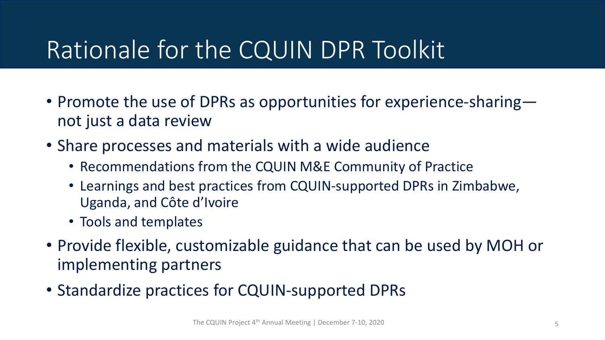# Rationale for the CQUIN DPR Toolkit

- Promote the use of DPRs as opportunities for experience-sharing not just a data review
- Share processes and materials with a wide audience
	- Recommendations from the CQUIN M&E Community of Practice
	- Learnings and best practices from CQUIN-supported DPRs in Zimbabwe, Uganda, and Côte d'Ivoire
	- Tools and templates
- Provide flexible, customizable guidance that can be used by MOH or implementing partners
- Standardize practices for CQUIN-supported DPRs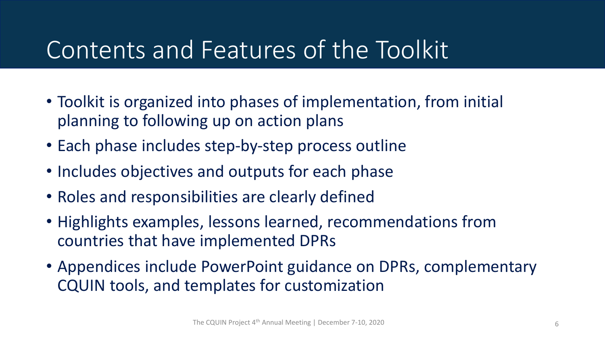### Contents and Features of the Toolkit

- Toolkit is organized into phases of implementation, from initial planning to following up on action plans
- Each phase includes step-by-step process outline
- Includes objectives and outputs for each phase
- Roles and responsibilities are clearly defined
- Highlights examples, lessons learned, recommendations from countries that have implemented DPRs
- Appendices include PowerPoint guidance on DPRs, complementary CQUIN tools, and templates for customization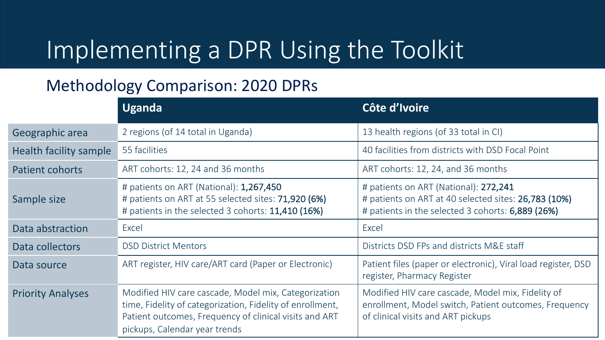## Implementing a DPR Using the Toolkit

#### Methodology Comparison: 2020 DPRs

|                               | <b>Uganda</b>                                                                                                                                                                                                | Côte d'Ivoire                                                                                                                                      |
|-------------------------------|--------------------------------------------------------------------------------------------------------------------------------------------------------------------------------------------------------------|----------------------------------------------------------------------------------------------------------------------------------------------------|
| Geographic area               | 2 regions (of 14 total in Uganda)                                                                                                                                                                            | 13 health regions (of 33 total in CI)                                                                                                              |
| <b>Health facility sample</b> | 55 facilities                                                                                                                                                                                                | 40 facilities from districts with DSD Focal Point                                                                                                  |
| <b>Patient cohorts</b>        | ART cohorts: 12, 24 and 36 months                                                                                                                                                                            | ART cohorts: 12, 24, and 36 months                                                                                                                 |
| Sample size                   | # patients on ART (National): 1,267,450<br># patients on ART at 55 selected sites: 71,920 (6%)<br># patients in the selected 3 cohorts: 11,410 (16%)                                                         | # patients on ART (National): 272,241<br># patients on ART at 40 selected sites: 26,783 (10%)<br># patients in the selected 3 cohorts: 6,889 (26%) |
| Data abstraction              | Excel                                                                                                                                                                                                        | Excel                                                                                                                                              |
| Data collectors               | <b>DSD District Mentors</b>                                                                                                                                                                                  | Districts DSD FPs and districts M&E staff                                                                                                          |
| Data source                   | ART register, HIV care/ART card (Paper or Electronic)                                                                                                                                                        | Patient files (paper or electronic), Viral load register, DSD<br>register, Pharmacy Register                                                       |
| <b>Priority Analyses</b>      | Modified HIV care cascade, Model mix, Categorization<br>time, Fidelity of categorization, Fidelity of enrollment,<br>Patient outcomes, Frequency of clinical visits and ART<br>pickups, Calendar year trends | Modified HIV care cascade, Model mix, Fidelity of<br>enrollment, Model switch, Patient outcomes, Frequency<br>of clinical visits and ART pickups   |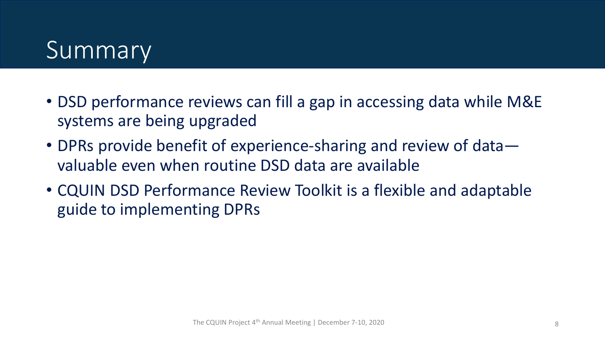## Summary

- DSD performance reviews can fill a gap in accessing data while M&E systems are being upgraded
- DPRs provide benefit of experience-sharing and review of data valuable even when routine DSD data are available
- CQUIN DSD Performance Review Toolkit is a flexible and adaptable guide to implementing DPRs